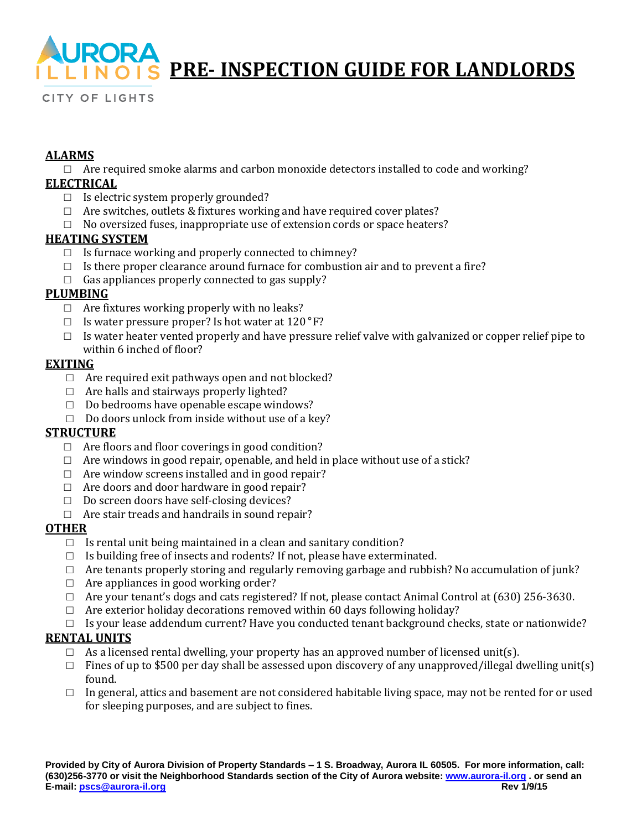

# **PRE- INSPECTION GUIDE FOR LANDLORDS**

**CITY OF LIGHTS** 

#### **ALARMS**

 $\Box$  Are required smoke alarms and carbon monoxide detectors installed to code and working?

#### **ELECTRICAL**

- $\Box$  Is electric system properly grounded?
- □ Are switches, outlets & fixtures working and have required cover plates?
- $\Box$  No oversized fuses, inappropriate use of extension cords or space heaters?

#### **HEATING SYSTEM**

- □ Is furnace working and properly connected to chimney?
- $\Box$  Is there proper clearance around furnace for combustion air and to prevent a fire?
- $\Box$  Gas appliances properly connected to gas supply?

#### **PLUMBING**

- $\Box$  Are fixtures working properly with no leaks?
- $\Box$  Is water pressure proper? Is hot water at 120 °F?
- $\Box$  Is water heater vented properly and have pressure relief valve with galvanized or copper relief pipe to within 6 inched of floor?

#### **EXITING**

- $\Box$  Are required exit pathways open and not blocked?
- □ Are halls and stairways properly lighted?
- $\Box$  Do bedrooms have openable escape windows?
- $\Box$  Do doors unlock from inside without use of a key?

#### **STRUCTURE**

- $\Box$  Are floors and floor coverings in good condition?
- $\Box$  Are windows in good repair, openable, and held in place without use of a stick?
- $\Box$  Are window screens installed and in good repair?
- $\Box$  Are doors and door hardware in good repair?
- □ Do screen doors have self-closing devices?
- $\Box$  Are stair treads and handrails in sound repair?

#### **OTHER**

- $\Box$  Is rental unit being maintained in a clean and sanitary condition?
- $\Box$  Is building free of insects and rodents? If not, please have exterminated.
- $\Box$  Are tenants properly storing and regularly removing garbage and rubbish? No accumulation of junk?
- $\Box$  Are appliances in good working order?
- $\Box$  Are your tenant's dogs and cats registered? If not, please contact Animal Control at (630) 256-3630.
- $\Box$  Are exterior holiday decorations removed within 60 days following holiday?
- $\Box$  Is your lease addendum current? Have you conducted tenant background checks, state or nationwide?

#### **RENTAL UNITS**

- $\Box$  As a licensed rental dwelling, your property has an approved number of licensed unit(s).
- $\Box$  Fines of up to \$500 per day shall be assessed upon discovery of any unapproved/illegal dwelling unit(s) found.
- $\Box$  In general, attics and basement are not considered habitable living space, may not be rented for or used for sleeping purposes, and are subject to fines.